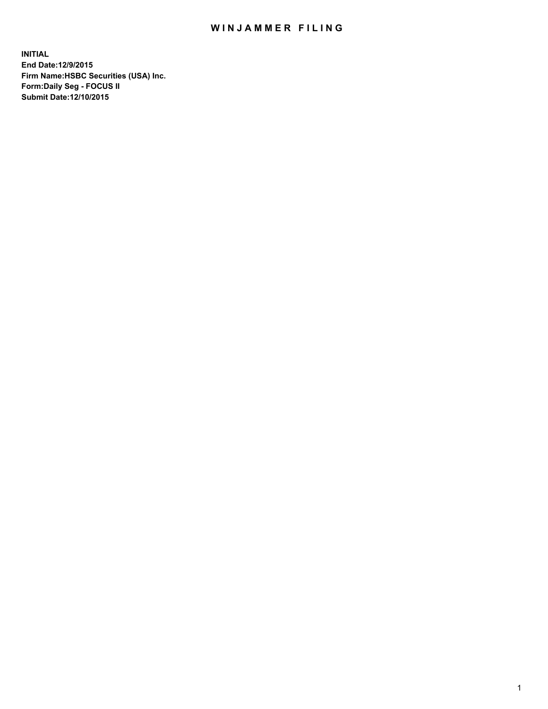## WIN JAMMER FILING

**INITIAL End Date:12/9/2015 Firm Name:HSBC Securities (USA) Inc. Form:Daily Seg - FOCUS II Submit Date:12/10/2015**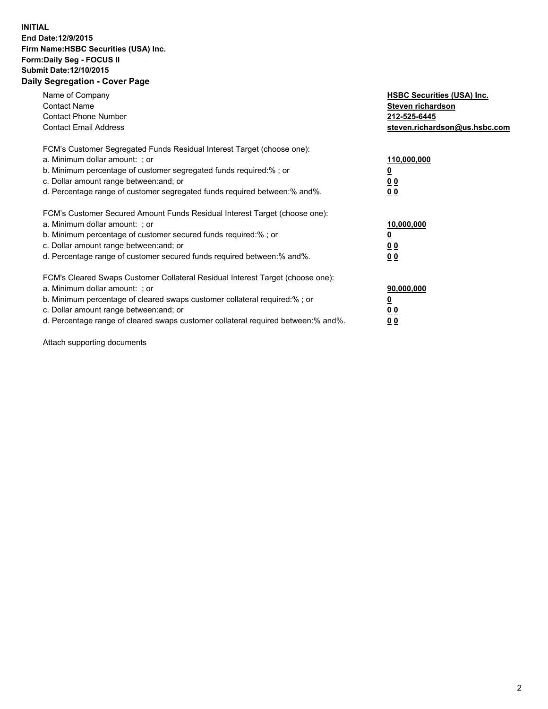## **INITIAL End Date:12/9/2015 Firm Name:HSBC Securities (USA) Inc. Form:Daily Seg - FOCUS II Submit Date:12/10/2015 Daily Segregation - Cover Page**

| Name of Company<br><b>Contact Name</b><br><b>Contact Phone Number</b><br><b>Contact Email Address</b>                                                                                                                                                                                                                         | <b>HSBC Securities (USA) Inc.</b><br>Steven richardson<br>212-525-6445<br>steven.richardson@us.hsbc.com |
|-------------------------------------------------------------------------------------------------------------------------------------------------------------------------------------------------------------------------------------------------------------------------------------------------------------------------------|---------------------------------------------------------------------------------------------------------|
| FCM's Customer Segregated Funds Residual Interest Target (choose one):<br>a. Minimum dollar amount: ; or<br>b. Minimum percentage of customer segregated funds required: % ; or<br>c. Dollar amount range between: and; or<br>d. Percentage range of customer segregated funds required between:% and%.                       | 110,000,000<br><u>0</u><br>0 <sub>0</sub><br>0 <sub>0</sub>                                             |
| FCM's Customer Secured Amount Funds Residual Interest Target (choose one):<br>a. Minimum dollar amount: ; or<br>b. Minimum percentage of customer secured funds required:%; or<br>c. Dollar amount range between: and; or<br>d. Percentage range of customer secured funds required between:% and%.                           | 10,000,000<br><u>0</u><br>0 <sub>0</sub><br>0 <sub>0</sub>                                              |
| FCM's Cleared Swaps Customer Collateral Residual Interest Target (choose one):<br>a. Minimum dollar amount: ; or<br>b. Minimum percentage of cleared swaps customer collateral required:%; or<br>c. Dollar amount range between: and; or<br>d. Percentage range of cleared swaps customer collateral required between:% and%. | 90,000,000<br><u>0</u><br>0 <sub>0</sub><br>0 <sub>0</sub>                                              |

Attach supporting documents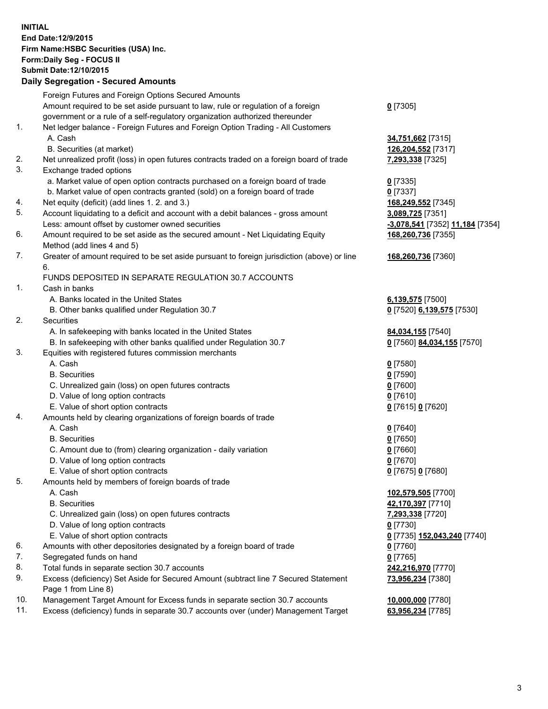**INITIAL End Date:12/9/2015 Firm Name:HSBC Securities (USA) Inc. Form:Daily Seg - FOCUS II Submit Date:12/10/2015**

## **Daily Segregation - Secured Amounts**

|     | Foreign Futures and Foreign Options Secured Amounts                                         |                                 |
|-----|---------------------------------------------------------------------------------------------|---------------------------------|
|     | Amount required to be set aside pursuant to law, rule or regulation of a foreign            | $0$ [7305]                      |
|     | government or a rule of a self-regulatory organization authorized thereunder                |                                 |
| 1.  | Net ledger balance - Foreign Futures and Foreign Option Trading - All Customers             |                                 |
|     | A. Cash                                                                                     | 34,751,662 [7315]               |
|     | B. Securities (at market)                                                                   | 126,204,552 [7317]              |
| 2.  | Net unrealized profit (loss) in open futures contracts traded on a foreign board of trade   | 7,293,338 [7325]                |
| 3.  | Exchange traded options                                                                     |                                 |
|     | a. Market value of open option contracts purchased on a foreign board of trade              | $0$ [7335]                      |
|     | b. Market value of open contracts granted (sold) on a foreign board of trade                | $0$ [7337]                      |
| 4.  | Net equity (deficit) (add lines 1.2. and 3.)                                                | 168,249,552 [7345]              |
| 5.  | Account liquidating to a deficit and account with a debit balances - gross amount           | 3,089,725 [7351]                |
|     | Less: amount offset by customer owned securities                                            | -3,078,541 [7352] 11,184 [7354] |
| 6.  | Amount required to be set aside as the secured amount - Net Liquidating Equity              | 168,260,736 [7355]              |
|     | Method (add lines 4 and 5)                                                                  |                                 |
| 7.  | Greater of amount required to be set aside pursuant to foreign jurisdiction (above) or line | 168,260,736 [7360]              |
|     | 6.                                                                                          |                                 |
|     | FUNDS DEPOSITED IN SEPARATE REGULATION 30.7 ACCOUNTS                                        |                                 |
| 1.  | Cash in banks                                                                               |                                 |
|     | A. Banks located in the United States                                                       | 6,139,575 [7500]                |
|     | B. Other banks qualified under Regulation 30.7                                              | 0 [7520] 6,139,575 [7530]       |
| 2.  | Securities                                                                                  |                                 |
|     | A. In safekeeping with banks located in the United States                                   | 84,034,155 [7540]               |
|     | B. In safekeeping with other banks qualified under Regulation 30.7                          | 0 [7560] 84,034,155 [7570]      |
| 3.  | Equities with registered futures commission merchants                                       |                                 |
|     | A. Cash                                                                                     | $0$ [7580]                      |
|     | <b>B.</b> Securities                                                                        | $0$ [7590]                      |
|     | C. Unrealized gain (loss) on open futures contracts                                         | $0$ [7600]                      |
|     | D. Value of long option contracts                                                           | $0$ [7610]                      |
|     | E. Value of short option contracts                                                          | 0 [7615] 0 [7620]               |
| 4.  | Amounts held by clearing organizations of foreign boards of trade                           |                                 |
|     | A. Cash                                                                                     | $0$ [7640]                      |
|     | <b>B.</b> Securities                                                                        | $0$ [7650]                      |
|     | C. Amount due to (from) clearing organization - daily variation                             | $0$ [7660]                      |
|     | D. Value of long option contracts                                                           | $0$ [7670]                      |
|     | E. Value of short option contracts                                                          | 0 [7675] 0 [7680]               |
| 5.  | Amounts held by members of foreign boards of trade                                          |                                 |
|     | A. Cash                                                                                     | 102,579,505 [7700]              |
|     | <b>B.</b> Securities                                                                        | 42,170,397 [7710]               |
|     | C. Unrealized gain (loss) on open futures contracts                                         | 7,293,338 [7720]                |
|     | D. Value of long option contracts                                                           | $0$ [7730]                      |
|     | E. Value of short option contracts                                                          | 0 [7735] 152,043,240 [7740]     |
| 6.  | Amounts with other depositories designated by a foreign board of trade                      | 0 [7760]                        |
| 7.  | Segregated funds on hand                                                                    | $0$ [7765]                      |
| 8.  | Total funds in separate section 30.7 accounts                                               | 242,216,970 [7770]              |
| 9.  | Excess (deficiency) Set Aside for Secured Amount (subtract line 7 Secured Statement         | 73,956,234 [7380]               |
|     | Page 1 from Line 8)                                                                         |                                 |
| 10. | Management Target Amount for Excess funds in separate section 30.7 accounts                 | 10,000,000 [7780]               |
| 11. | Excess (deficiency) funds in separate 30.7 accounts over (under) Management Target          | 63,956,234 [7785]               |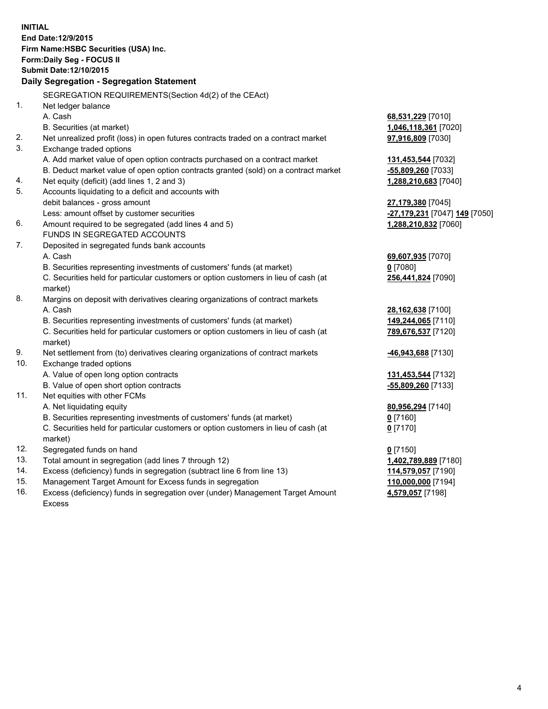**INITIAL End Date:12/9/2015 Firm Name:HSBC Securities (USA) Inc. Form:Daily Seg - FOCUS II Submit Date:12/10/2015 Daily Segregation - Segregation Statement** SEGREGATION REQUIREMENTS(Section 4d(2) of the CEAct) 1. Net ledger balance A. Cash **68,531,229** [7010] B. Securities (at market) **1,046,118,361** [7020] 2. Net unrealized profit (loss) in open futures contracts traded on a contract market **97,916,809** [7030] 3. Exchange traded options A. Add market value of open option contracts purchased on a contract market **131,453,544** [7032] B. Deduct market value of open option contracts granted (sold) on a contract market **-55,809,260** [7033] 4. Net equity (deficit) (add lines 1, 2 and 3) **1,288,210,683** [7040] 5. Accounts liquidating to a deficit and accounts with debit balances - gross amount **27,179,380** [7045] Less: amount offset by customer securities **-27,179,231** [7047] **149** [7050] 6. Amount required to be segregated (add lines 4 and 5) **1,288,210,832** [7060] FUNDS IN SEGREGATED ACCOUNTS 7. Deposited in segregated funds bank accounts A. Cash **69,607,935** [7070] B. Securities representing investments of customers' funds (at market) **0** [7080] C. Securities held for particular customers or option customers in lieu of cash (at market) **256,441,824** [7090] 8. Margins on deposit with derivatives clearing organizations of contract markets A. Cash **28,162,638** [7100] B. Securities representing investments of customers' funds (at market) **149,244,065** [7110] C. Securities held for particular customers or option customers in lieu of cash (at market) **789,676,537** [7120] 9. Net settlement from (to) derivatives clearing organizations of contract markets **-46,943,688** [7130] 10. Exchange traded options A. Value of open long option contracts **131,453,544** [7132] B. Value of open short option contracts **-55,809,260** [7133] 11. Net equities with other FCMs A. Net liquidating equity **80,956,294** [7140] B. Securities representing investments of customers' funds (at market) **0** [7160] C. Securities held for particular customers or option customers in lieu of cash (at market) **0** [7170] 12. Segregated funds on hand **0** [7150] 13. Total amount in segregation (add lines 7 through 12) **1,402,789,889** [7180] 14. Excess (deficiency) funds in segregation (subtract line 6 from line 13) **114,579,057** [7190] 15. Management Target Amount for Excess funds in segregation **110,000,000** [7194]

16. Excess (deficiency) funds in segregation over (under) Management Target Amount Excess

**4,579,057** [7198]